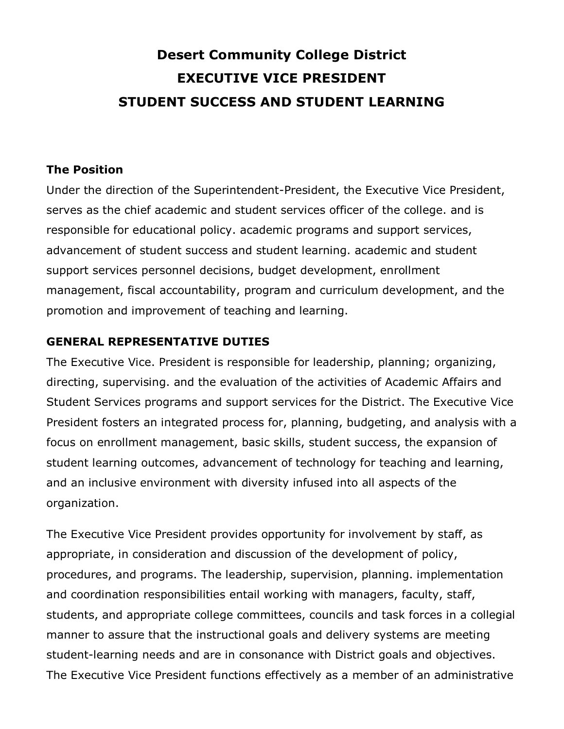# **Desert Community College District EXECUTIVE VICE PRESIDENT STUDENT SUCCESS AND STUDENT LEARNING**

#### **The Position**

Under the direction of the Superintendent-President, the Executive Vice President, serves as the chief academic and student services officer of the college. and is responsible for educational policy. academic programs and support services, advancement of student success and student learning. academic and student support services personnel decisions, budget development, enrollment management, fiscal accountability, program and curriculum development, and the promotion and improvement of teaching and learning.

#### **GENERAL REPRESENTATIVE DUTIES**

The Executive Vice. President is responsible for leadership, planning; organizing, directing, supervising. and the evaluation of the activities of Academic Affairs and Student Services programs and support services for the District. The Executive Vice President fosters an integrated process for, planning, budgeting, and analysis with a focus on enrollment management, basic skills, student success, the expansion of student learning outcomes, advancement of technology for teaching and learning, and an inclusive environment with diversity infused into all aspects of the organization.

The Executive Vice President provides opportunity for involvement by staff, as appropriate, in consideration and discussion of the development of policy, procedures, and programs. The leadership, supervision, planning. implementation and coordination responsibilities entail working with managers, faculty, staff, students, and appropriate college committees, councils and task forces in a collegial manner to assure that the instructional goals and delivery systems are meeting student-learning needs and are in consonance with District goals and objectives. The Executive Vice President functions effectively as a member of an administrative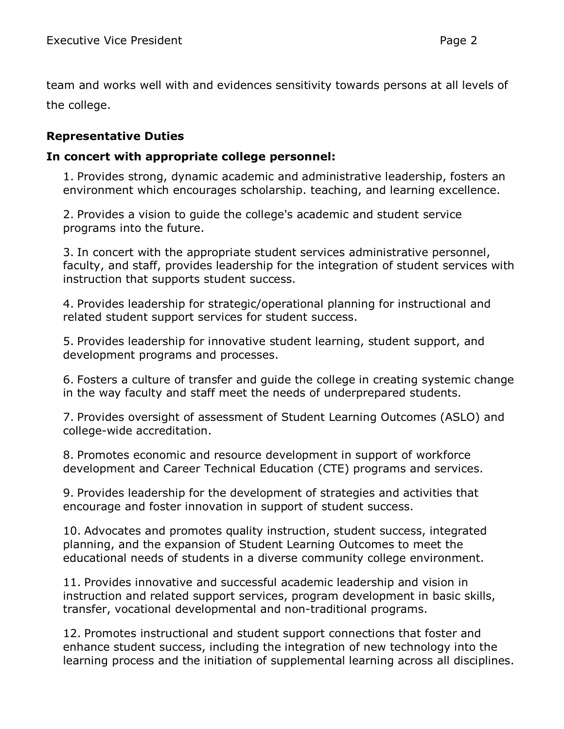team and works well with and evidences sensitivity towards persons at all levels of the college.

## **Representative Duties**

#### **In concert with appropriate college personnel:**

1. Provides strong, dynamic academic and administrative leadership, fosters an environment which encourages scholarship. teaching, and learning excellence.

2. Provides a vision to guide the college's academic and student service programs into the future.

3. In concert with the appropriate student services administrative personnel, faculty, and staff, provides leadership for the integration of student services with instruction that supports student success.

4. Provides leadership for strategic/operational planning for instructional and related student support services for student success.

5. Provides leadership for innovative student learning, student support, and development programs and processes.

6. Fosters a culture of transfer and guide the college in creating systemic change in the way faculty and staff meet the needs of underprepared students.

7. Provides oversight of assessment of Student Learning Outcomes (ASLO) and college-wide accreditation.

8. Promotes economic and resource development in support of workforce development and Career Technical Education (CTE) programs and services.

9. Provides leadership for the development of strategies and activities that encourage and foster innovation in support of student success.

10. Advocates and promotes quality instruction, student success, integrated planning, and the expansion of Student Learning Outcomes to meet the educational needs of students in a diverse community college environment.

11. Provides innovative and successful academic leadership and vision in instruction and related support services, program development in basic skills, transfer, vocational developmental and non-traditional programs.

12. Promotes instructional and student support connections that foster and enhance student success, including the integration of new technology into the learning process and the initiation of supplemental learning across all disciplines.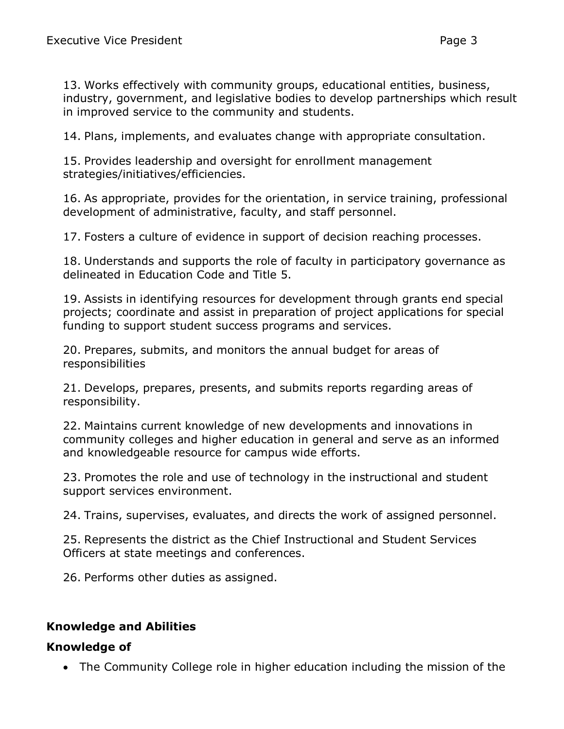13. Works effectively with community groups, educational entities, business, industry, government, and legislative bodies to develop partnerships which result in improved service to the community and students.

14. Plans, implements, and evaluates change with appropriate consultation.

15. Provides leadership and oversight for enrollment management strategies/initiatives/efficiencies.

16. As appropriate, provides for the orientation, in service training, professional development of administrative, faculty, and staff personnel.

17. Fosters a culture of evidence in support of decision reaching processes.

18. Understands and supports the role of faculty in participatory governance as delineated in Education Code and Title 5.

19. Assists in identifying resources for development through grants end special projects; coordinate and assist in preparation of project applications for special funding to support student success programs and services.

20. Prepares, submits, and monitors the annual budget for areas of responsibilities

21. Develops, prepares, presents, and submits reports regarding areas of responsibility.

22. Maintains current knowledge of new developments and innovations in community colleges and higher education in general and serve as an informed and knowledgeable resource for campus wide efforts.

23. Promotes the role and use of technology in the instructional and student support services environment.

24. Trains, supervises, evaluates, and directs the work of assigned personnel.

25. Represents the district as the Chief Instructional and Student Services Officers at state meetings and conferences.

26. Performs other duties as assigned.

## **Knowledge and Abilities**

#### **Knowledge of**

• The Community College role in higher education including the mission of the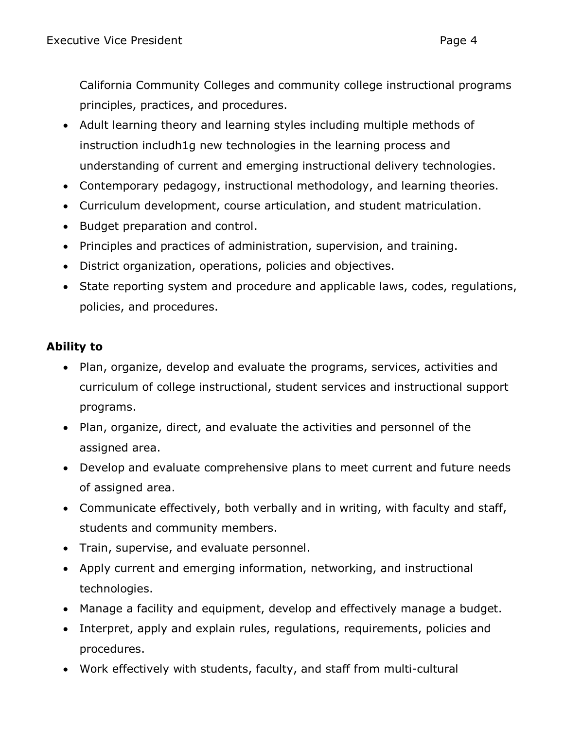California Community Colleges and community college instructional programs principles, practices, and procedures.

- Adult learning theory and learning styles including multiple methods of instruction includh1g new technologies in the learning process and understanding of current and emerging instructional delivery technologies.
- Contemporary pedagogy, instructional methodology, and learning theories.
- Curriculum development, course articulation, and student matriculation.
- Budget preparation and control.
- Principles and practices of administration, supervision, and training.
- District organization, operations, policies and objectives.
- State reporting system and procedure and applicable laws, codes, regulations, policies, and procedures.

# **Ability to**

- Plan, organize, develop and evaluate the programs, services, activities and curriculum of college instructional, student services and instructional support programs.
- Plan, organize, direct, and evaluate the activities and personnel of the assigned area.
- Develop and evaluate comprehensive plans to meet current and future needs of assigned area.
- Communicate effectively, both verbally and in writing, with faculty and staff, students and community members.
- Train, supervise, and evaluate personnel.
- Apply current and emerging information, networking, and instructional technologies.
- Manage a facility and equipment, develop and effectively manage a budget.
- Interpret, apply and explain rules, regulations, requirements, policies and procedures.
- Work effectively with students, faculty, and staff from multi-cultural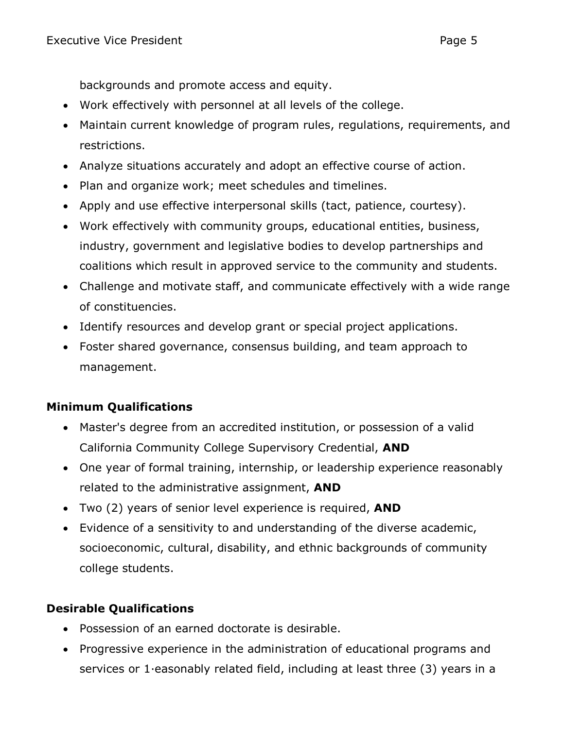backgrounds and promote access and equity.

- Work effectively with personnel at all levels of the college.
- Maintain current knowledge of program rules, regulations, requirements, and restrictions.
- Analyze situations accurately and adopt an effective course of action.
- Plan and organize work; meet schedules and timelines.
- Apply and use effective interpersonal skills (tact, patience, courtesy).
- Work effectively with community groups, educational entities, business, industry, government and legislative bodies to develop partnerships and coalitions which result in approved service to the community and students.
- Challenge and motivate staff, and communicate effectively with a wide range of constituencies.
- Identify resources and develop grant or special project applications.
- Foster shared governance, consensus building, and team approach to management.

# **Minimum Qualifications**

- Master's degree from an accredited institution, or possession of a valid California Community College Supervisory Credential, **AND**
- One year of formal training, internship, or leadership experience reasonably related to the administrative assignment, **AND**
- Two (2) years of senior level experience is required, **AND**
- Evidence of a sensitivity to and understanding of the diverse academic, socioeconomic, cultural, disability, and ethnic backgrounds of community college students.

# **Desirable Qualifications**

- Possession of an earned doctorate is desirable.
- Progressive experience in the administration of educational programs and services or 1·easonably related field, including at least three (3) years in a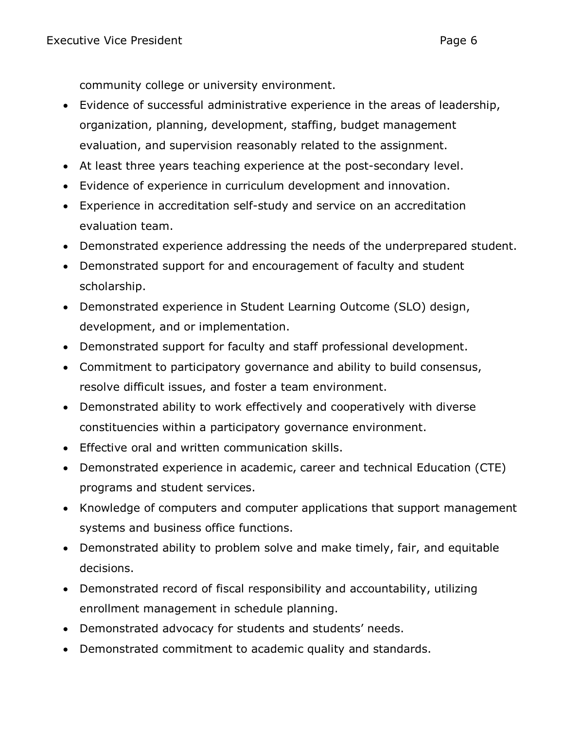community college or university environment.

- Evidence of successful administrative experience in the areas of leadership, organization, planning, development, staffing, budget management evaluation, and supervision reasonably related to the assignment.
- At least three years teaching experience at the post-secondary level.
- Evidence of experience in curriculum development and innovation.
- Experience in accreditation self-study and service on an accreditation evaluation team.
- Demonstrated experience addressing the needs of the underprepared student.
- Demonstrated support for and encouragement of faculty and student scholarship.
- Demonstrated experience in Student Learning Outcome (SLO) design, development, and or implementation.
- Demonstrated support for faculty and staff professional development.
- Commitment to participatory governance and ability to build consensus, resolve difficult issues, and foster a team environment.
- Demonstrated ability to work effectively and cooperatively with diverse constituencies within a participatory governance environment.
- Effective oral and written communication skills.
- Demonstrated experience in academic, career and technical Education (CTE) programs and student services.
- Knowledge of computers and computer applications that support management systems and business office functions.
- Demonstrated ability to problem solve and make timely, fair, and equitable decisions.
- Demonstrated record of fiscal responsibility and accountability, utilizing enrollment management in schedule planning.
- Demonstrated advocacy for students and students' needs.
- Demonstrated commitment to academic quality and standards.